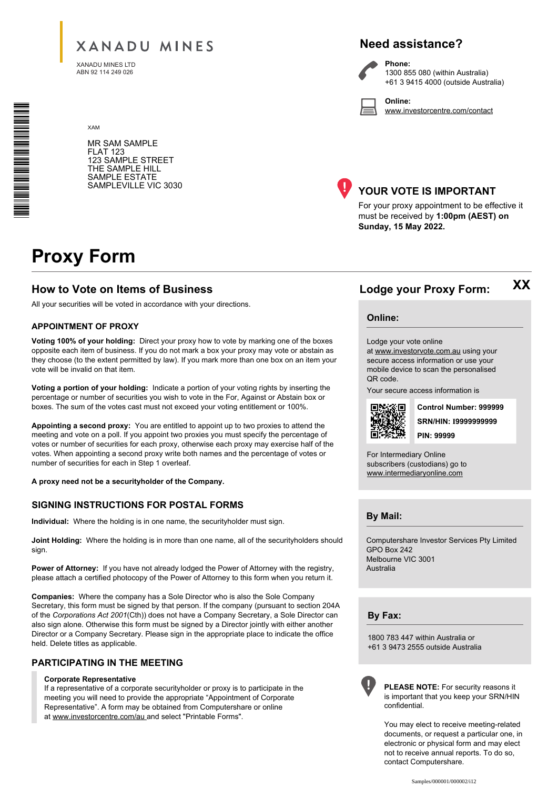# **XANADU MINES**

XANADU MINES LTD ABN 92 114 249 026

XAM

# **Need assistance?**

**Phone:**

**Online:**

1300 855 080 (within Australia) +61 3 9415 4000 (outside Australia)

www.investorcentre.com/contact

MR SAM SAMPLE FLAT 123 123 SAMPLE STREET THE SAMPLE HILL SAMPLE ESTATE SAMPLEVILLE VIC 3030



## **YOUR VOTE IS IMPORTANT**

For your proxy appointment to be effective it must be received by **1:00pm (AEST) on Sunday, 15 May 2022.**

# **Proxy Form**

# **How to Vote on Items of Business Lodge your Proxy Form:**

All your securities will be voted in accordance with your directions.

### **APPOINTMENT OF PROXY**

**Voting 100% of your holding:** Direct your proxy how to vote by marking one of the boxes opposite each item of business. If you do not mark a box your proxy may vote or abstain as they choose (to the extent permitted by law). If you mark more than one box on an item your vote will be invalid on that item.

**Voting a portion of your holding:** Indicate a portion of your voting rights by inserting the percentage or number of securities you wish to vote in the For, Against or Abstain box or boxes. The sum of the votes cast must not exceed your voting entitlement or 100%.

**Appointing a second proxy:** You are entitled to appoint up to two proxies to attend the meeting and vote on a poll. If you appoint two proxies you must specify the percentage of votes or number of securities for each proxy, otherwise each proxy may exercise half of the votes. When appointing a second proxy write both names and the percentage of votes or number of securities for each in Step 1 overleaf.

**A proxy need not be a securityholder of the Company.**

### **SIGNING INSTRUCTIONS FOR POSTAL FORMS**

**Individual:** Where the holding is in one name, the securityholder must sign.

**Joint Holding:** Where the holding is in more than one name, all of the securityholders should sign.

Power of Attorney: If you have not already lodged the Power of Attorney with the registry, please attach a certified photocopy of the Power of Attorney to this form when you return it.

**Companies:** Where the company has a Sole Director who is also the Sole Company Secretary, this form must be signed by that person. If the company (pursuant to section 204A of the *Corporations Act 2001*(Cth)) does not have a Company Secretary, a Sole Director can also sign alone. Otherwise this form must be signed by a Director jointly with either another Director or a Company Secretary. Please sign in the appropriate place to indicate the office held. Delete titles as applicable.

### **PARTICIPATING IN THE MEETING**

#### **Corporate Representative**

If a representative of a corporate securityholder or proxy is to participate in the meeting you will need to provide the appropriate "Appointment of Corporate Representative". A form may be obtained from Computershare or online at www.investorcentre.com/au and select "Printable Forms".

# **XX**

### **Online:**

Lodge your vote online

at www.investorvote.com.au using your secure access information or use your mobile device to scan the personalised QR code.

Your secure access information is



**SRN/HIN: I9999999999 Control Number: 999999 PIN: 99999**

For Intermediary Online subscribers (custodians) go to www.intermediaryonline.com

**By Mail:**

Computershare Investor Services Pty Limited GPO Box 242 Melbourne VIC 3001 Australia

**By Fax:**

1800 783 447 within Australia or +61 3 9473 2555 outside Australia



**PLEASE NOTE:** For security reasons it is important that you keep your SRN/HIN confidential.

You may elect to receive meeting-related documents, or request a particular one, in electronic or physical form and may elect not to receive annual reports. To do so, contact Computershare.

\* M0000112<br>M000112